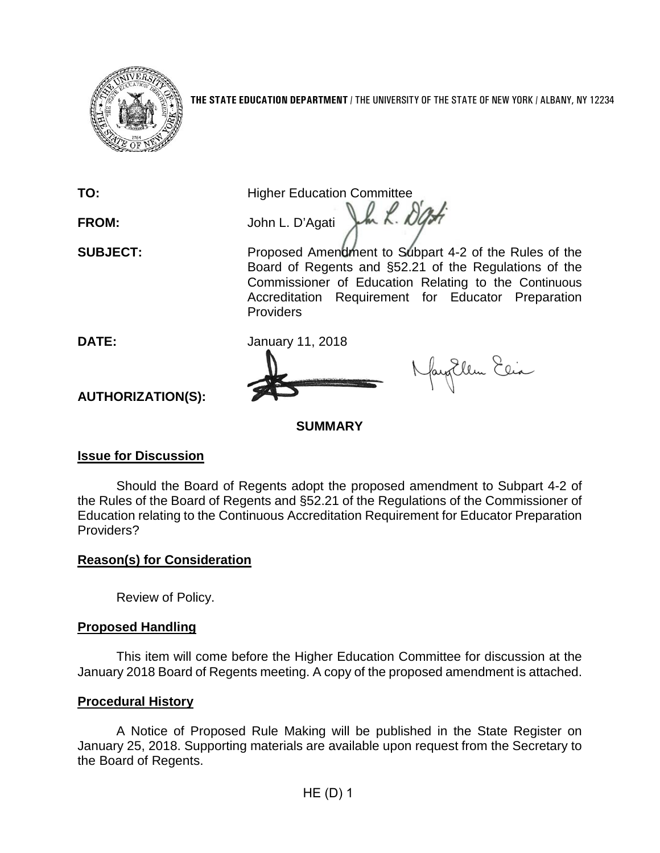

**THE STATE EDUCATION DEPARTMENT** / THE UNIVERSITY OF THE STATE OF NEW YORK / ALBANY, NY 12234

**TO:** Higher Education Committee FROM: John L. D'Agati John K. *D'Af* 

**SUBJECT:** Proposed Amendment to Subpart 4-2 of the Rules of the Board of Regents and §52.21 of the Regulations of the Commissioner of Education Relating to the Continuous Accreditation Requirement for Educator Preparation Providers

**DATE:** January 11, 2018

fayEllen Elia

**AUTHORIZATION(S):**

**SUMMARY**

## **Issue for Discussion**

Should the Board of Regents adopt the proposed amendment to Subpart 4-2 of the Rules of the Board of Regents and §52.21 of the Regulations of the Commissioner of Education relating to the Continuous Accreditation Requirement for Educator Preparation Providers?

## **Reason(s) for Consideration**

Review of Policy.

## **Proposed Handling**

This item will come before the Higher Education Committee for discussion at the January 2018 Board of Regents meeting. A copy of the proposed amendment is attached.

### **Procedural History**

A Notice of Proposed Rule Making will be published in the State Register on January 25, 2018. Supporting materials are available upon request from the Secretary to the Board of Regents.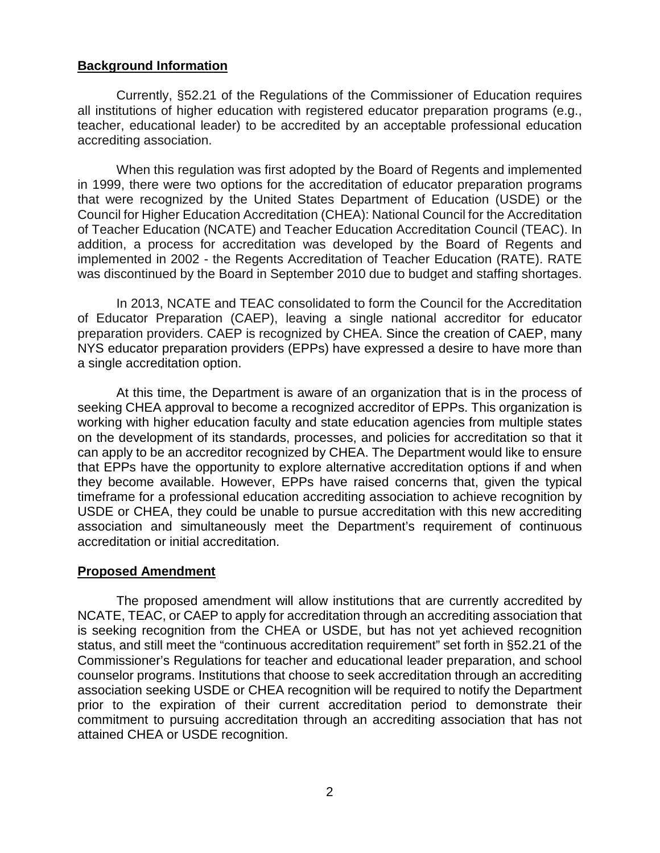#### **Background Information**

Currently, §52.21 of the Regulations of the Commissioner of Education requires all institutions of higher education with registered educator preparation programs (e.g., teacher, educational leader) to be accredited by an acceptable professional education accrediting association.

When this regulation was first adopted by the Board of Regents and implemented in 1999, there were two options for the accreditation of educator preparation programs that were recognized by the United States Department of Education (USDE) or the Council for Higher Education Accreditation (CHEA): National Council for the Accreditation of Teacher Education (NCATE) and Teacher Education Accreditation Council (TEAC). In addition, a process for accreditation was developed by the Board of Regents and implemented in 2002 - the Regents Accreditation of Teacher Education (RATE). RATE was discontinued by the Board in September 2010 due to budget and staffing shortages.

In 2013, NCATE and TEAC consolidated to form the Council for the Accreditation of Educator Preparation (CAEP), leaving a single national accreditor for educator preparation providers. CAEP is recognized by CHEA. Since the creation of CAEP, many NYS educator preparation providers (EPPs) have expressed a desire to have more than a single accreditation option.

At this time, the Department is aware of an organization that is in the process of seeking CHEA approval to become a recognized accreditor of EPPs. This organization is working with higher education faculty and state education agencies from multiple states on the development of its standards, processes, and policies for accreditation so that it can apply to be an accreditor recognized by CHEA. The Department would like to ensure that EPPs have the opportunity to explore alternative accreditation options if and when they become available. However, EPPs have raised concerns that, given the typical timeframe for a professional education accrediting association to achieve recognition by USDE or CHEA, they could be unable to pursue accreditation with this new accrediting association and simultaneously meet the Department's requirement of continuous accreditation or initial accreditation.

### **Proposed Amendment**

The proposed amendment will allow institutions that are currently accredited by NCATE, TEAC, or CAEP to apply for accreditation through an accrediting association that is seeking recognition from the CHEA or USDE, but has not yet achieved recognition status, and still meet the "continuous accreditation requirement" set forth in §52.21 of the Commissioner's Regulations for teacher and educational leader preparation, and school counselor programs. Institutions that choose to seek accreditation through an accrediting association seeking USDE or CHEA recognition will be required to notify the Department prior to the expiration of their current accreditation period to demonstrate their commitment to pursuing accreditation through an accrediting association that has not attained CHEA or USDE recognition.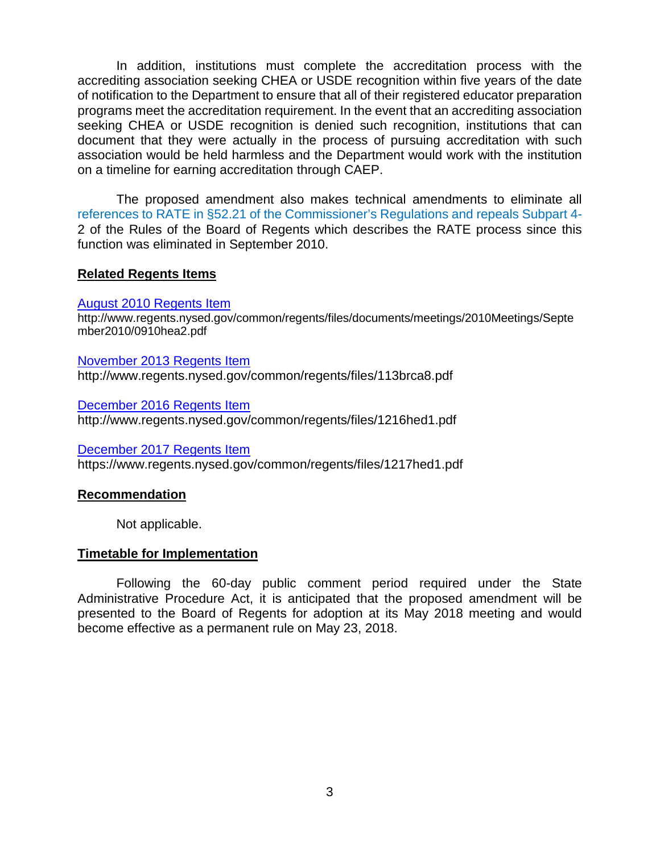In addition, institutions must complete the accreditation process with the accrediting association seeking CHEA or USDE recognition within five years of the date of notification to the Department to ensure that all of their registered educator preparation programs meet the accreditation requirement. In the event that an accrediting association seeking CHEA or USDE recognition is denied such recognition, institutions that can document that they were actually in the process of pursuing accreditation with such association would be held harmless and the Department would work with the institution on a timeline for earning accreditation through CAEP.

The proposed amendment also makes technical amendments to eliminate all references to RATE in §52.21 of the Commissioner's Regulations and repeals Subpart 4- 2 of the Rules of the Board of Regents which describes the RATE process since this function was eliminated in September 2010.

#### **Related Regents Items**

#### August 2010 [Regents](http://www.regents.nysed.gov/common/regents/files/documents/meetings/2010Meetings/September2010/0910hea2.pdf) Item

http://www.regents.nysed.gov/common/regents/files/documents/meetings/2010Meetings/Septe mber2010/0910hea2.pdf

[November](http://www.regents.nysed.gov/common/regents/files/113brca8.pdf) 2013 Regents Item http://www.regents.nysed.gov/common/regents/files/113brca8.pdf

[December](http://www.regents.nysed.gov/common/regents/files/1216hed1.pdf) 2016 Regents Item http://www.regents.nysed.gov/common/regents/files/1216hed1.pdf

[December](https://www.regents.nysed.gov/common/regents/files/1217hed1.pdf) 2017 Regents Item https://www.regents.nysed.gov/common/regents/files/1217hed1.pdf

### **Recommendation**

Not applicable.

### **Timetable for Implementation**

Following the 60-day public comment period required under the State Administrative Procedure Act, it is anticipated that the proposed amendment will be presented to the Board of Regents for adoption at its May 2018 meeting and would become effective as a permanent rule on May 23, 2018.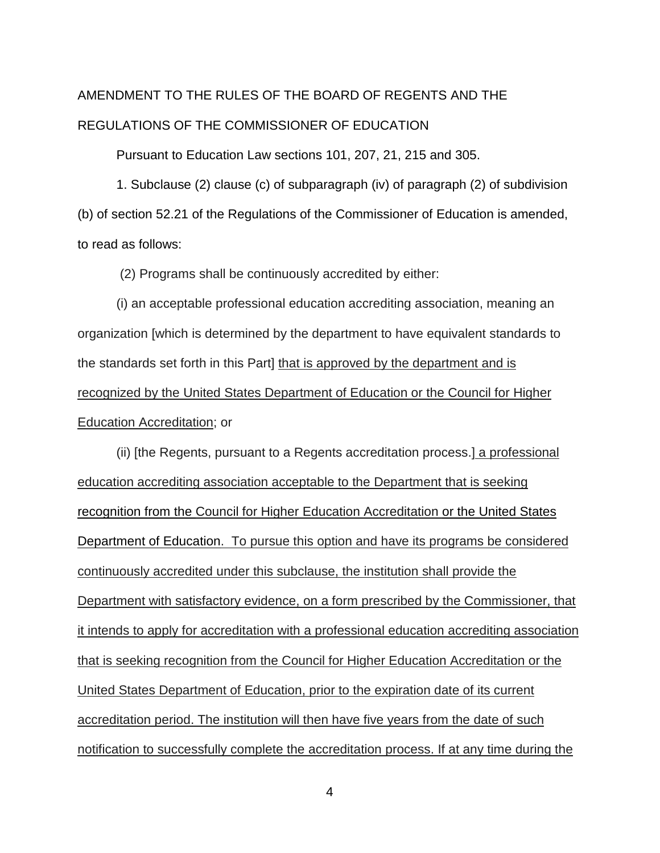# AMENDMENT TO THE RULES OF THE BOARD OF REGENTS AND THE REGULATIONS OF THE COMMISSIONER OF EDUCATION

Pursuant to Education Law sections 101, 207, 21, 215 and 305.

1. Subclause (2) clause (c) of subparagraph (iv) of paragraph (2) of subdivision (b) of section 52.21 of the Regulations of the Commissioner of Education is amended, to read as follows:

(2) Programs shall be continuously accredited by either:

(i) an acceptable professional education accrediting association, meaning an organization [which is determined by the department to have equivalent standards to the standards set forth in this Part] that is approved by the department and is recognized by the United States Department of Education or the Council for Higher Education Accreditation; or

(ii) [the Regents, pursuant to a Regents accreditation process.] a professional education accrediting association acceptable to the Department that is seeking recognition from the Council for Higher Education Accreditation or the United States Department of Education. To pursue this option and have its programs be considered continuously accredited under this subclause, the institution shall provide the Department with satisfactory evidence, on a form prescribed by the Commissioner, that it intends to apply for accreditation with a professional education accrediting association that is seeking recognition from the Council for Higher Education Accreditation or the United States Department of Education, prior to the expiration date of its current accreditation period. The institution will then have five years from the date of such notification to successfully complete the accreditation process. If at any time during the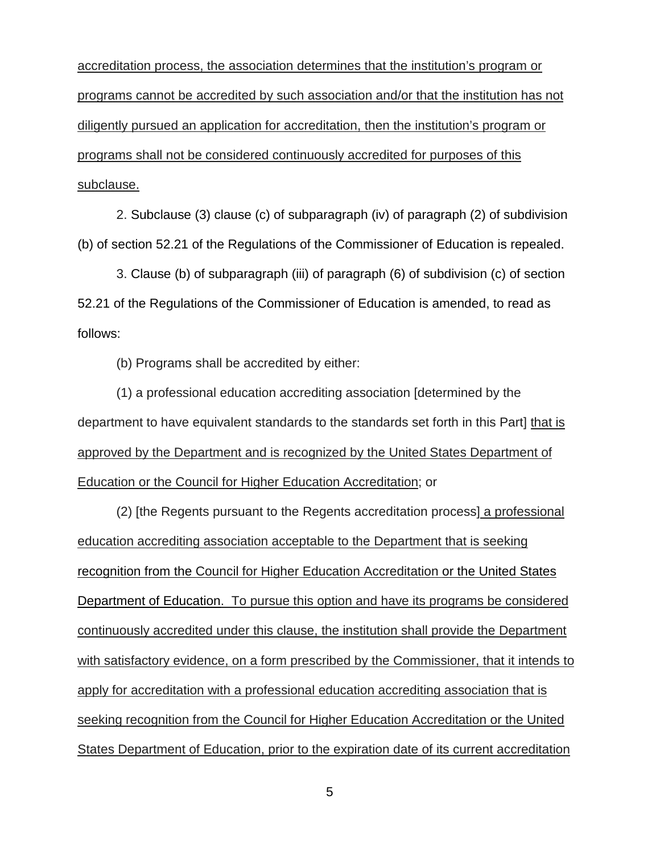accreditation process, the association determines that the institution's program or programs cannot be accredited by such association and/or that the institution has not diligently pursued an application for accreditation, then the institution's program or programs shall not be considered continuously accredited for purposes of this subclause.

2. Subclause (3) clause (c) of subparagraph (iv) of paragraph (2) of subdivision (b) of section 52.21 of the Regulations of the Commissioner of Education is repealed.

3. Clause (b) of subparagraph (iii) of paragraph (6) of subdivision (c) of section 52.21 of the Regulations of the Commissioner of Education is amended, to read as follows:

(b) Programs shall be accredited by either:

(1) a professional education accrediting association [determined by the department to have equivalent standards to the standards set forth in this Part] that is approved by the Department and is recognized by the United States Department of Education or the Council for Higher Education Accreditation; or

(2) [the Regents pursuant to the Regents accreditation process] a professional education accrediting association acceptable to the Department that is seeking recognition from the Council for Higher Education Accreditation or the United States Department of Education. To pursue this option and have its programs be considered continuously accredited under this clause, the institution shall provide the Department with satisfactory evidence, on a form prescribed by the Commissioner, that it intends to apply for accreditation with a professional education accrediting association that is seeking recognition from the Council for Higher Education Accreditation or the United States Department of Education, prior to the expiration date of its current accreditation

5